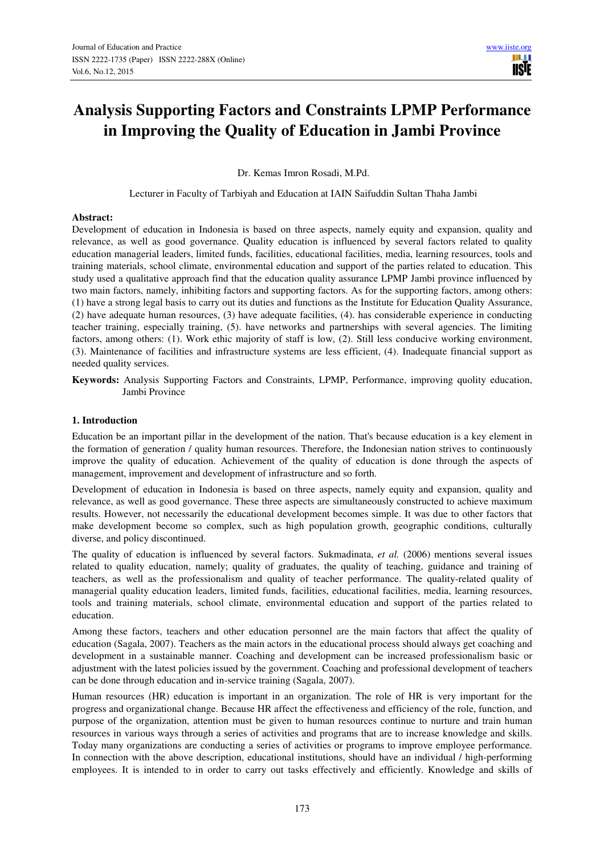# **Analysis Supporting Factors and Constraints LPMP Performance in Improving the Quality of Education in Jambi Province**

**IISE** 

Dr. Kemas Imron Rosadi, M.Pd.

Lecturer in Faculty of Tarbiyah and Education at IAIN Saifuddin Sultan Thaha Jambi

#### **Abstract:**

Development of education in Indonesia is based on three aspects, namely equity and expansion, quality and relevance, as well as good governance. Quality education is influenced by several factors related to quality education managerial leaders, limited funds, facilities, educational facilities, media, learning resources, tools and training materials, school climate, environmental education and support of the parties related to education. This study used a qualitative approach find that the education quality assurance LPMP Jambi province influenced by two main factors, namely, inhibiting factors and supporting factors. As for the supporting factors, among others: (1) have a strong legal basis to carry out its duties and functions as the Institute for Education Quality Assurance, (2) have adequate human resources, (3) have adequate facilities, (4). has considerable experience in conducting teacher training, especially training, (5). have networks and partnerships with several agencies. The limiting factors, among others: (1). Work ethic majority of staff is low, (2). Still less conducive working environment, (3). Maintenance of facilities and infrastructure systems are less efficient, (4). Inadequate financial support as needed quality services.

**Keywords:** Analysis Supporting Factors and Constraints, LPMP, Performance, improving quolity education, Jambi Province

# **1. Introduction**

Education be an important pillar in the development of the nation. That's because education is a key element in the formation of generation / quality human resources. Therefore, the Indonesian nation strives to continuously improve the quality of education. Achievement of the quality of education is done through the aspects of management, improvement and development of infrastructure and so forth.

Development of education in Indonesia is based on three aspects, namely equity and expansion, quality and relevance, as well as good governance. These three aspects are simultaneously constructed to achieve maximum results. However, not necessarily the educational development becomes simple. It was due to other factors that make development become so complex, such as high population growth, geographic conditions, culturally diverse, and policy discontinued.

The quality of education is influenced by several factors. Sukmadinata, *et al.* (2006) mentions several issues related to quality education, namely; quality of graduates, the quality of teaching, guidance and training of teachers, as well as the professionalism and quality of teacher performance. The quality-related quality of managerial quality education leaders, limited funds, facilities, educational facilities, media, learning resources, tools and training materials, school climate, environmental education and support of the parties related to education.

Among these factors, teachers and other education personnel are the main factors that affect the quality of education (Sagala, 2007). Teachers as the main actors in the educational process should always get coaching and development in a sustainable manner. Coaching and development can be increased professionalism basic or adjustment with the latest policies issued by the government. Coaching and professional development of teachers can be done through education and in-service training (Sagala, 2007).

Human resources (HR) education is important in an organization. The role of HR is very important for the progress and organizational change. Because HR affect the effectiveness and efficiency of the role, function, and purpose of the organization, attention must be given to human resources continue to nurture and train human resources in various ways through a series of activities and programs that are to increase knowledge and skills. Today many organizations are conducting a series of activities or programs to improve employee performance. In connection with the above description, educational institutions, should have an individual / high-performing employees. It is intended to in order to carry out tasks effectively and efficiently. Knowledge and skills of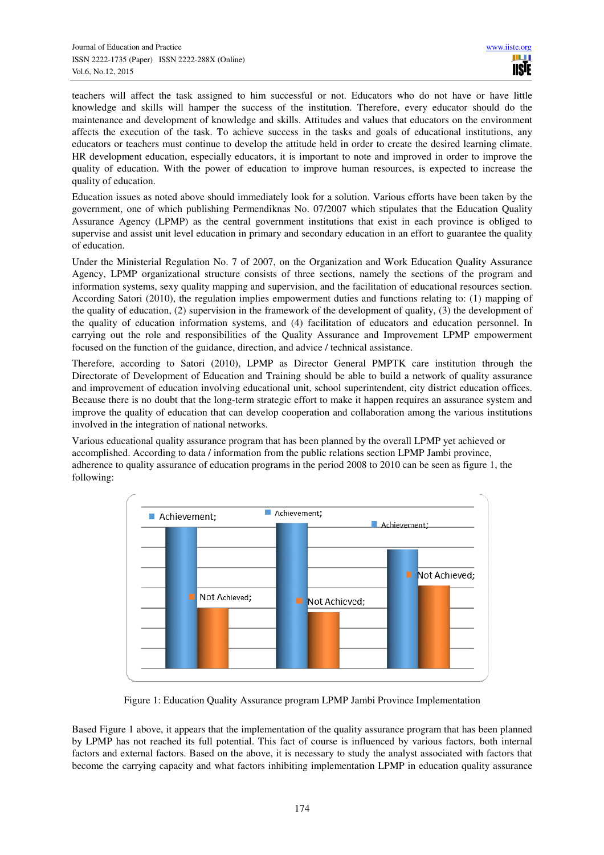teachers will affect the task assigned to him successful or not. Educators who do not have or have little knowledge and skills will hamper the success of the institution. Therefore, every educator should do the maintenance and development of knowledge and skills. Attitudes and values that educators on the environment affects the execution of the task. To achieve success in the tasks and goals of educational institutions, any educators or teachers must continue to develop the attitude held in order to create the desired learning climate. HR development education, especially educators, it is important to note and improved in order to improve the quality of education. With the power of education to improve human resources, is expected to increase the quality of education.

Education issues as noted above should immediately look for a solution. Various efforts have been taken by the government, one of which publishing Permendiknas No. 07/2007 which stipulates that the Education Quality Assurance Agency (LPMP) as the central government institutions that exist in each province is obliged to supervise and assist unit level education in primary and secondary education in an effort to guarantee the quality of education.

Under the Ministerial Regulation No. 7 of 2007, on the Organization and Work Education Quality Assurance Agency, LPMP organizational structure consists of three sections, namely the sections of the program and information systems, sexy quality mapping and supervision, and the facilitation of educational resources section. According Satori (2010), the regulation implies empowerment duties and functions relating to: (1) mapping of the quality of education, (2) supervision in the framework of the development of quality, (3) the development of the quality of education information systems, and (4) facilitation of educators and education personnel. In carrying out the role and responsibilities of the Quality Assurance and Improvement LPMP empowerment focused on the function of the guidance, direction, and advice / technical assistance.

Therefore, according to Satori (2010), LPMP as Director General PMPTK care institution through the Directorate of Development of Education and Training should be able to build a network of quality assurance and improvement of education involving educational unit, school superintendent, city district education offices. Because there is no doubt that the long-term strategic effort to make it happen requires an assurance system and improve the quality of education that can develop cooperation and collaboration among the various institutions involved in the integration of national networks.

Various educational quality assurance program that has been planned by the overall LPMP yet achieved or accomplished. According to data / information from the public relations section LPMP Jambi province, adherence to quality assurance of education programs in the period 2008 to 2010 can be seen as figure 1, the following:



Figure 1: Education Quality Assurance program LPMP Jambi Province Implementation

Based Figure 1 above, it appears that the implementation of the quality assurance program that has been planned by LPMP has not reached its full potential. This fact of course is influenced by various factors, both internal factors and external factors. Based on the above, it is necessary to study the analyst associated with factors that become the carrying capacity and what factors inhibiting implementation LPMP in education quality assurance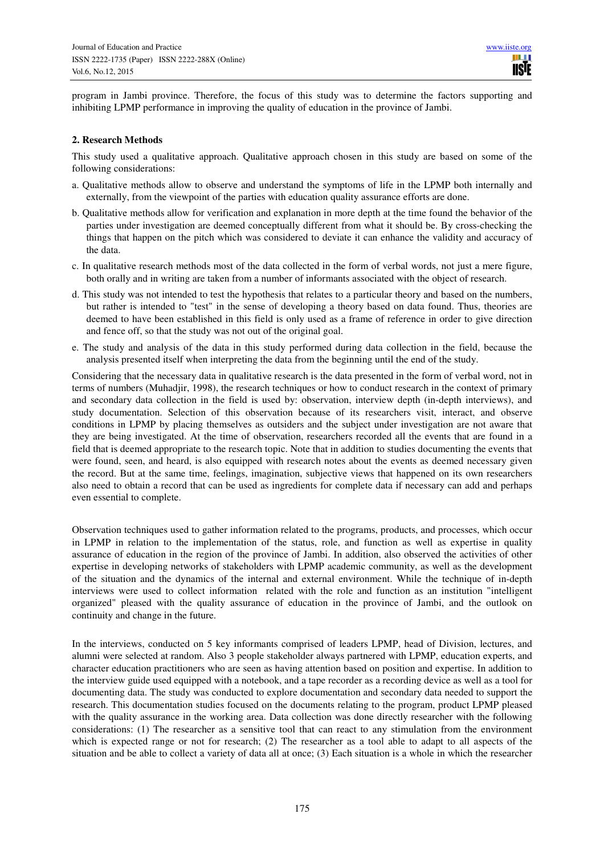program in Jambi province. Therefore, the focus of this study was to determine the factors supporting and inhibiting LPMP performance in improving the quality of education in the province of Jambi.

## **2. Research Methods**

This study used a qualitative approach. Qualitative approach chosen in this study are based on some of the following considerations:

- a. Qualitative methods allow to observe and understand the symptoms of life in the LPMP both internally and externally, from the viewpoint of the parties with education quality assurance efforts are done.
- b. Qualitative methods allow for verification and explanation in more depth at the time found the behavior of the parties under investigation are deemed conceptually different from what it should be. By cross-checking the things that happen on the pitch which was considered to deviate it can enhance the validity and accuracy of the data.
- c. In qualitative research methods most of the data collected in the form of verbal words, not just a mere figure, both orally and in writing are taken from a number of informants associated with the object of research.
- d. This study was not intended to test the hypothesis that relates to a particular theory and based on the numbers, but rather is intended to "test" in the sense of developing a theory based on data found. Thus, theories are deemed to have been established in this field is only used as a frame of reference in order to give direction and fence off, so that the study was not out of the original goal.
- e. The study and analysis of the data in this study performed during data collection in the field, because the analysis presented itself when interpreting the data from the beginning until the end of the study.

Considering that the necessary data in qualitative research is the data presented in the form of verbal word, not in terms of numbers (Muhadjir, 1998), the research techniques or how to conduct research in the context of primary and secondary data collection in the field is used by: observation, interview depth (in-depth interviews), and study documentation. Selection of this observation because of its researchers visit, interact, and observe conditions in LPMP by placing themselves as outsiders and the subject under investigation are not aware that they are being investigated. At the time of observation, researchers recorded all the events that are found in a field that is deemed appropriate to the research topic. Note that in addition to studies documenting the events that were found, seen, and heard, is also equipped with research notes about the events as deemed necessary given the record. But at the same time, feelings, imagination, subjective views that happened on its own researchers also need to obtain a record that can be used as ingredients for complete data if necessary can add and perhaps even essential to complete.

Observation techniques used to gather information related to the programs, products, and processes, which occur in LPMP in relation to the implementation of the status, role, and function as well as expertise in quality assurance of education in the region of the province of Jambi. In addition, also observed the activities of other expertise in developing networks of stakeholders with LPMP academic community, as well as the development of the situation and the dynamics of the internal and external environment. While the technique of in-depth interviews were used to collect information related with the role and function as an institution "intelligent organized" pleased with the quality assurance of education in the province of Jambi, and the outlook on continuity and change in the future.

In the interviews, conducted on 5 key informants comprised of leaders LPMP, head of Division, lectures, and alumni were selected at random. Also 3 people stakeholder always partnered with LPMP, education experts, and character education practitioners who are seen as having attention based on position and expertise. In addition to the interview guide used equipped with a notebook, and a tape recorder as a recording device as well as a tool for documenting data. The study was conducted to explore documentation and secondary data needed to support the research. This documentation studies focused on the documents relating to the program, product LPMP pleased with the quality assurance in the working area. Data collection was done directly researcher with the following considerations: (1) The researcher as a sensitive tool that can react to any stimulation from the environment which is expected range or not for research; (2) The researcher as a tool able to adapt to all aspects of the situation and be able to collect a variety of data all at once; (3) Each situation is a whole in which the researcher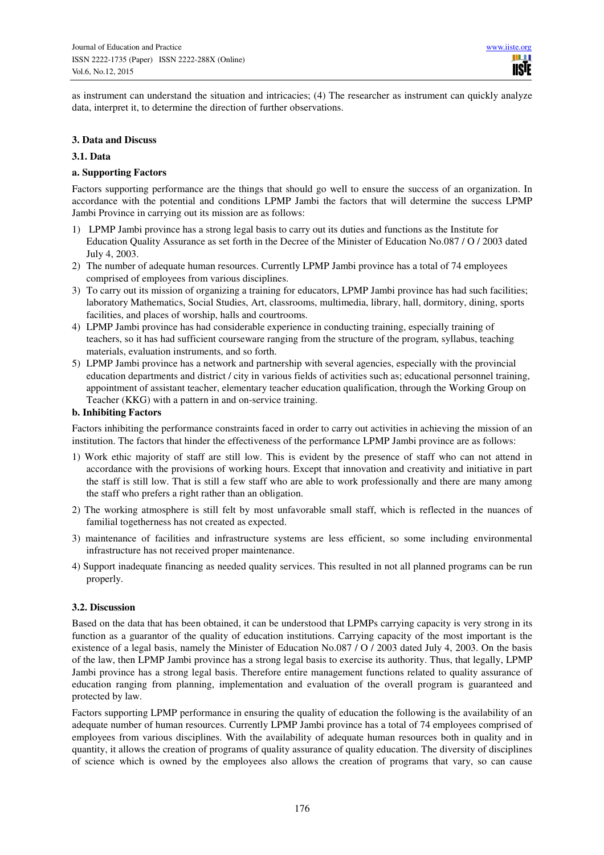as instrument can understand the situation and intricacies; (4) The researcher as instrument can quickly analyze data, interpret it, to determine the direction of further observations.

#### **3. Data and Discuss**

## **3.1. Data**

## **a. Supporting Factors**

Factors supporting performance are the things that should go well to ensure the success of an organization. In accordance with the potential and conditions LPMP Jambi the factors that will determine the success LPMP Jambi Province in carrying out its mission are as follows:

- 1) LPMP Jambi province has a strong legal basis to carry out its duties and functions as the Institute for Education Quality Assurance as set forth in the Decree of the Minister of Education No.087 / O / 2003 dated July 4, 2003.
- 2) The number of adequate human resources. Currently LPMP Jambi province has a total of 74 employees comprised of employees from various disciplines.
- 3) To carry out its mission of organizing a training for educators, LPMP Jambi province has had such facilities; laboratory Mathematics, Social Studies, Art, classrooms, multimedia, library, hall, dormitory, dining, sports facilities, and places of worship, halls and courtrooms.
- 4) LPMP Jambi province has had considerable experience in conducting training, especially training of teachers, so it has had sufficient courseware ranging from the structure of the program, syllabus, teaching materials, evaluation instruments, and so forth.
- 5) LPMP Jambi province has a network and partnership with several agencies, especially with the provincial education departments and district / city in various fields of activities such as; educational personnel training, appointment of assistant teacher, elementary teacher education qualification, through the Working Group on Teacher (KKG) with a pattern in and on-service training.

#### **b. Inhibiting Factors**

Factors inhibiting the performance constraints faced in order to carry out activities in achieving the mission of an institution. The factors that hinder the effectiveness of the performance LPMP Jambi province are as follows:

- 1) Work ethic majority of staff are still low. This is evident by the presence of staff who can not attend in accordance with the provisions of working hours. Except that innovation and creativity and initiative in part the staff is still low. That is still a few staff who are able to work professionally and there are many among the staff who prefers a right rather than an obligation.
- 2) The working atmosphere is still felt by most unfavorable small staff, which is reflected in the nuances of familial togetherness has not created as expected.
- 3) maintenance of facilities and infrastructure systems are less efficient, so some including environmental infrastructure has not received proper maintenance.
- 4) Support inadequate financing as needed quality services. This resulted in not all planned programs can be run properly.

# **3.2. Discussion**

Based on the data that has been obtained, it can be understood that LPMPs carrying capacity is very strong in its function as a guarantor of the quality of education institutions. Carrying capacity of the most important is the existence of a legal basis, namely the Minister of Education No.087 / O / 2003 dated July 4, 2003. On the basis of the law, then LPMP Jambi province has a strong legal basis to exercise its authority. Thus, that legally, LPMP Jambi province has a strong legal basis. Therefore entire management functions related to quality assurance of education ranging from planning, implementation and evaluation of the overall program is guaranteed and protected by law.

Factors supporting LPMP performance in ensuring the quality of education the following is the availability of an adequate number of human resources. Currently LPMP Jambi province has a total of 74 employees comprised of employees from various disciplines. With the availability of adequate human resources both in quality and in quantity, it allows the creation of programs of quality assurance of quality education. The diversity of disciplines of science which is owned by the employees also allows the creation of programs that vary, so can cause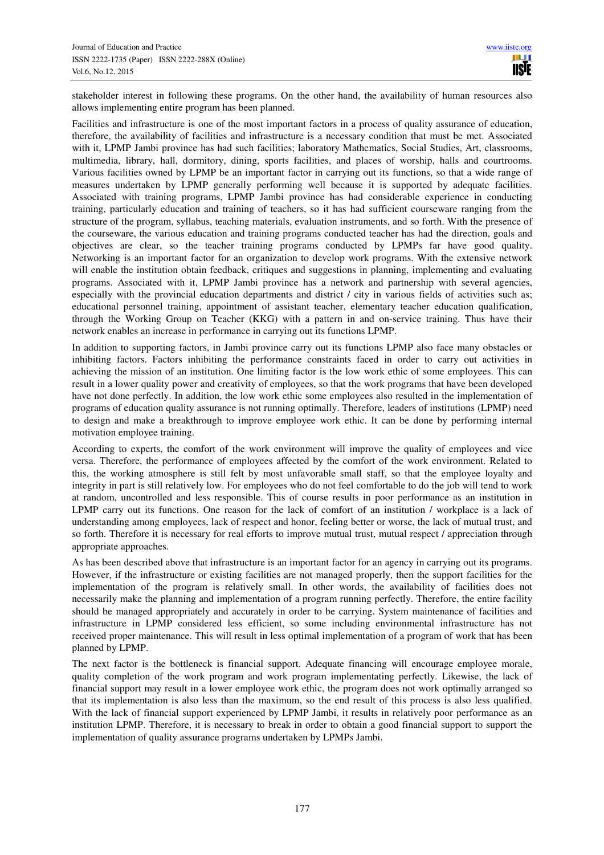stakeholder interest in following these programs. On the other hand, the availability of human resources also allows implementing entire program has been planned.

Facilities and infrastructure is one of the most important factors in a process of quality assurance of education, therefore, the availability of facilities and infrastructure is a necessary condition that must be met. Associated with it, LPMP Jambi province has had such facilities; laboratory Mathematics, Social Studies, Art, classrooms, multimedia, library, hall, dormitory, dining, sports facilities, and places of worship, halls and courtrooms. Various facilities owned by LPMP be an important factor in carrying out its functions, so that a wide range of measures undertaken by LPMP generally performing well because it is supported by adequate facilities. Associated with training programs, LPMP Jambi province has had considerable experience in conducting training, particularly education and training of teachers, so it has had sufficient courseware ranging from the structure of the program, syllabus, teaching materials, evaluation instruments, and so forth. With the presence of the courseware, the various education and training programs conducted teacher has had the direction, goals and objectives are clear, so the teacher training programs conducted by LPMPs far have good quality. Networking is an important factor for an organization to develop work programs. With the extensive network will enable the institution obtain feedback, critiques and suggestions in planning, implementing and evaluating programs. Associated with it, LPMP Jambi province has a network and partnership with several agencies, especially with the provincial education departments and district / city in various fields of activities such as; educational personnel training, appointment of assistant teacher, elementary teacher education qualification, through the Working Group on Teacher (KKG) with a pattern in and on-service training. Thus have their network enables an increase in performance in carrying out its functions LPMP.

In addition to supporting factors, in Jambi province carry out its functions LPMP also face many obstacles or inhibiting factors. Factors inhibiting the performance constraints faced in order to carry out activities in achieving the mission of an institution. One limiting factor is the low work ethic of some employees. This can result in a lower quality power and creativity of employees, so that the work programs that have been developed have not done perfectly. In addition, the low work ethic some employees also resulted in the implementation of programs of education quality assurance is not running optimally. Therefore, leaders of institutions (LPMP) need to design and make a breakthrough to improve employee work ethic. It can be done by performing internal motivation employee training.

According to experts, the comfort of the work environment will improve the quality of employees and vice versa. Therefore, the performance of employees affected by the comfort of the work environment. Related to this, the working atmosphere is still felt by most unfavorable small staff, so that the employee loyalty and integrity in part is still relatively low. For employees who do not feel comfortable to do the job will tend to work at random, uncontrolled and less responsible. This of course results in poor performance as an institution in LPMP carry out its functions. One reason for the lack of comfort of an institution / workplace is a lack of understanding among employees, lack of respect and honor, feeling better or worse, the lack of mutual trust, and so forth. Therefore it is necessary for real efforts to improve mutual trust, mutual respect / appreciation through appropriate approaches.

As has been described above that infrastructure is an important factor for an agency in carrying out its programs. However, if the infrastructure or existing facilities are not managed properly, then the support facilities for the implementation of the program is relatively small. In other words, the availability of facilities does not necessarily make the planning and implementation of a program running perfectly. Therefore, the entire facility should be managed appropriately and accurately in order to be carrying. System maintenance of facilities and infrastructure in LPMP considered less efficient, so some including environmental infrastructure has not received proper maintenance. This will result in less optimal implementation of a program of work that has been planned by LPMP.

The next factor is the bottleneck is financial support. Adequate financing will encourage employee morale, quality completion of the work program and work program implementating perfectly. Likewise, the lack of financial support may result in a lower employee work ethic, the program does not work optimally arranged so that its implementation is also less than the maximum, so the end result of this process is also less qualified. With the lack of financial support experienced by LPMP Jambi, it results in relatively poor performance as an institution LPMP. Therefore, it is necessary to break in order to obtain a good financial support to support the implementation of quality assurance programs undertaken by LPMPs Jambi.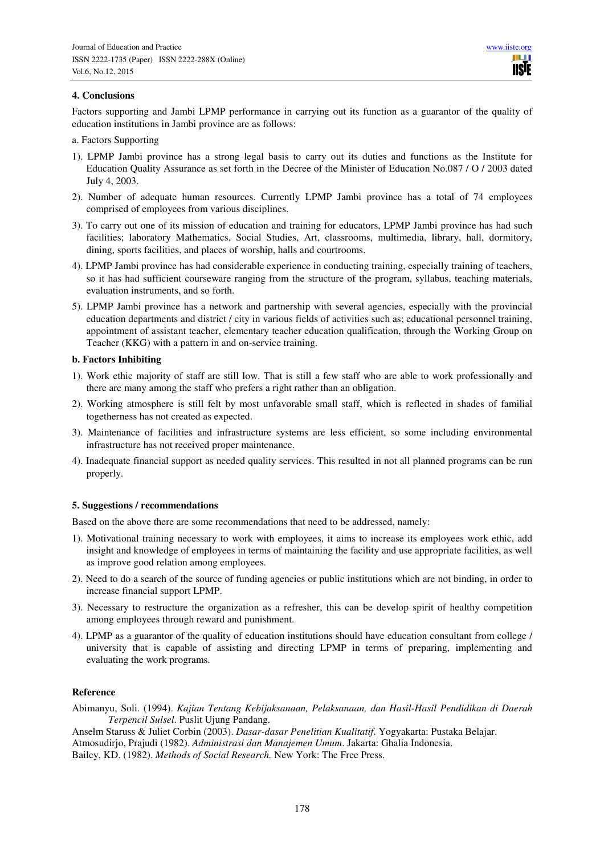# **4. Conclusions**

Factors supporting and Jambi LPMP performance in carrying out its function as a guarantor of the quality of education institutions in Jambi province are as follows:

a. Factors Supporting

- 1). LPMP Jambi province has a strong legal basis to carry out its duties and functions as the Institute for Education Quality Assurance as set forth in the Decree of the Minister of Education No.087 / O / 2003 dated July 4, 2003.
- 2). Number of adequate human resources. Currently LPMP Jambi province has a total of 74 employees comprised of employees from various disciplines.
- 3). To carry out one of its mission of education and training for educators, LPMP Jambi province has had such facilities; laboratory Mathematics, Social Studies, Art, classrooms, multimedia, library, hall, dormitory, dining, sports facilities, and places of worship, halls and courtrooms.
- 4). LPMP Jambi province has had considerable experience in conducting training, especially training of teachers, so it has had sufficient courseware ranging from the structure of the program, syllabus, teaching materials, evaluation instruments, and so forth.
- 5). LPMP Jambi province has a network and partnership with several agencies, especially with the provincial education departments and district / city in various fields of activities such as; educational personnel training, appointment of assistant teacher, elementary teacher education qualification, through the Working Group on Teacher (KKG) with a pattern in and on-service training.

#### **b. Factors Inhibiting**

- 1). Work ethic majority of staff are still low. That is still a few staff who are able to work professionally and there are many among the staff who prefers a right rather than an obligation.
- 2). Working atmosphere is still felt by most unfavorable small staff, which is reflected in shades of familial togetherness has not created as expected.
- 3). Maintenance of facilities and infrastructure systems are less efficient, so some including environmental infrastructure has not received proper maintenance.
- 4). Inadequate financial support as needed quality services. This resulted in not all planned programs can be run properly.

# **5. Suggestions / recommendations**

Based on the above there are some recommendations that need to be addressed, namely:

- 1). Motivational training necessary to work with employees, it aims to increase its employees work ethic, add insight and knowledge of employees in terms of maintaining the facility and use appropriate facilities, as well as improve good relation among employees.
- 2). Need to do a search of the source of funding agencies or public institutions which are not binding, in order to increase financial support LPMP.
- 3). Necessary to restructure the organization as a refresher, this can be develop spirit of healthy competition among employees through reward and punishment.
- 4). LPMP as a guarantor of the quality of education institutions should have education consultant from college / university that is capable of assisting and directing LPMP in terms of preparing, implementing and evaluating the work programs.

#### **Reference**

Abimanyu, Soli. (1994). *Kajian Tentang Kebijaksanaan, Pelaksanaan, dan Hasil-Hasil Pendidikan di Daerah Terpencil Sulsel*. Puslit Ujung Pandang.

Anselm Staruss & Juliet Corbin (2003). *Dasar-dasar Penelitian Kualitatif*. Yogyakarta: Pustaka Belajar. Atmosudirjo, Prajudi (1982). *Administrasi dan Manajemen Umum*. Jakarta: Ghalia Indonesia.

Bailey, KD. (1982). *Methods of Social Research.* New York: The Free Press.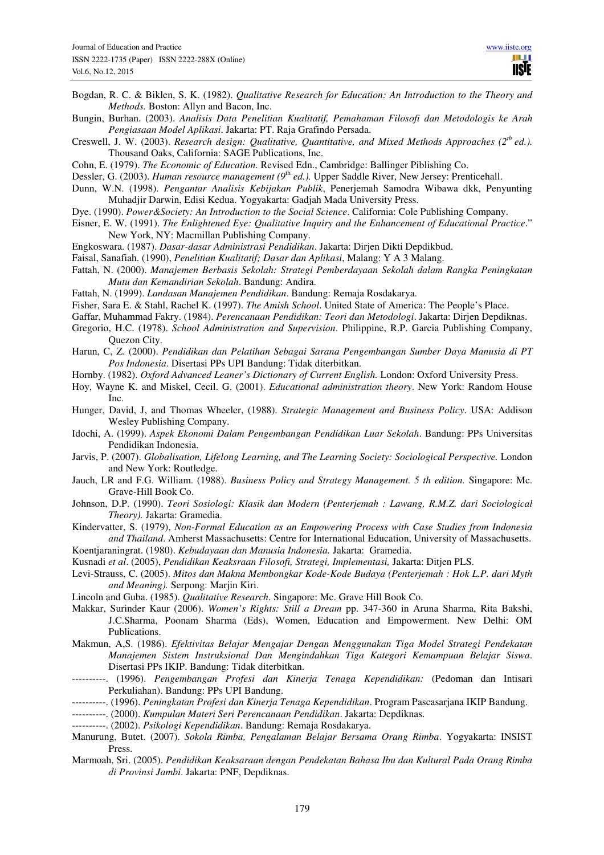- Bogdan, R. C. & Biklen, S. K. (1982). *Qualitative Research for Education: An Introduction to the Theory and Methods.* Boston: Allyn and Bacon, Inc.
- Bungin, Burhan. (2003). *Analisis Data Penelitian Kualitatif, Pemahaman Filosofi dan Metodologis ke Arah Pengiasaan Model Aplikasi*. Jakarta: PT. Raja Grafindo Persada.
- Creswell, J. W. (2003). *Research design: Qualitative, Quantitative, and Mixed Methods Approaches (2th ed.).*  Thousand Oaks, California: SAGE Publications, Inc.
- Cohn, E. (1979). *The Economic of Education.* Revised Edn., Cambridge: Ballinger Piblishing Co.

Dessler, G. (2003). *Human resource management* (9<sup>th</sup> *ed.*). Upper Saddle River, New Jersey: Prenticehall.

- Dunn, W.N. (1998). *Pengantar Analisis Kebijakan Publik*, Penerjemah Samodra Wibawa dkk, Penyunting Muhadjir Darwin, Edisi Kedua. Yogyakarta: Gadjah Mada University Press.
- Dye. (1990). *Power&Society: An Introduction to the Social Science*. California: Cole Publishing Company.
- Eisner, E. W. (1991). *The Enlightened Eye: Qualitative Inquiry and the Enhancement of Educational Practice*." New York, NY: Macmillan Publishing Company.
- Engkoswara. (1987). *Dasar-dasar Administrasi Pendidikan*. Jakarta: Dirjen Dikti Depdikbud.
- Faisal, Sanafiah. (1990), *Penelitian Kualitatif; Dasar dan Aplikasi*, Malang: Y A 3 Malang.
- Fattah, N. (2000). *Manajemen Berbasis Sekolah: Strategi Pemberdayaan Sekolah dalam Rangka Peningkatan Mutu dan Kemandirian Sekolah*. Bandung: Andira.
- Fattah, N. (1999). *Landasan Manajemen Pendidikan*. Bandung: Remaja Rosdakarya.
- Fisher, Sara E. & Stahl, Rachel K. (1997). *The Amish School*. United State of America: The People's Place.
- Gaffar, Muhammad Fakry. (1984). *Perencanaan Pendidikan: Teori dan Metodologi*. Jakarta: Dirjen Depdiknas.
- Gregorio, H.C. (1978). *School Administration and Supervision*. Philippine, R.P. Garcia Publishing Company, Quezon City.
- Harun, C, Z. (2000). *Pendidikan dan Pelatihan Sebagai Sarana Pengembangan Sumber Daya Manusia di PT Pos Indonesia*. Disertasi PPs UPI Bandung: Tidak diterbitkan.
- Hornby. (1982). *Oxford Advanced Leaner's Dictionary of Current English.* London: Oxford University Press.
- Hoy, Wayne K. and Miskel, Cecil. G. (2001). *Educational administration theory*. New York: Random House Inc.
- Hunger, David, J, and Thomas Wheeler, (1988). *Strategic Management and Business Policy*. USA: Addison Wesley Publishing Company.
- Idochi, A. (1999). *Aspek Ekonomi Dalam Pengembangan Pendidikan Luar Sekolah*. Bandung: PPs Universitas Pendidikan Indonesia.
- Jarvis, P. (2007). *Globalisation, Lifelong Learning, and The Learning Society: Sociological Perspective.* London and New York: Routledge.
- Jauch, LR and F.G. William. (1988). *Business Policy and Strategy Management. 5 th edition.* Singapore: Mc. Grave-Hill Book Co.
- Johnson, D.P. (1990). *Teori Sosiologi: Klasik dan Modern (Penterjemah : Lawang, R.M.Z. dari Sociological Theory).* Jakarta: Gramedia.
- Kindervatter, S. (1979), *Non-Formal Education as an Empowering Process with Case Studies from Indonesia and Thailand*. Amherst Massachusetts: Centre for International Education, University of Massachusetts. Koentjaraningrat. (1980). *Kebudayaan dan Manusia Indonesia.* Jakarta: Gramedia.
- Kusnadi *et al*. (2005), *Pendidikan Keaksraan Filosofi, Strategi, Implementasi,* Jakarta: Ditjen PLS.
- Levi-Strauss, C. (2005). *Mitos dan Makna Membongkar Kode-Kode Budaya (Penterjemah : Hok L.P. dari Myth and Meaning).* Serpong: Marjin Kiri.
- Lincoln and Guba. (1985). *Qualitative Research*. Singapore: Mc. Grave Hill Book Co.
- Makkar, Surinder Kaur (2006). *Women's Rights: Still a Dream* pp. 347-360 in Aruna Sharma, Rita Bakshi, J.C.Sharma, Poonam Sharma (Eds), Women, Education and Empowerment. New Delhi: OM Publications.
- Makmun, A,S. (1986). *Efektivitas Belajar Mengajar Dengan Menggunakan Tiga Model Strategi Pendekatan Manajemen Sistem Instruksional Dan Mengindahkan Tiga Kategori Kemampuan Belajar Siswa*. Disertasi PPs IKIP. Bandung: Tidak diterbitkan.
- ----------. (1996). *Pengembangan Profesi dan Kinerja Tenaga Kependidikan:* (Pedoman dan Intisari Perkuliahan). Bandung: PPs UPI Bandung.
- ----------. (1996). *Peningkatan Profesi dan Kinerja Tenaga Kependidikan*. Program Pascasarjana IKIP Bandung.
- ----------. (2000). *Kumpulan Materi Seri Perencanaan Pendidikan*. Jakarta: Depdiknas.
- ----------. (2002). *Psikologi Kependidikan*. Bandung: Remaja Rosdakarya.
- Manurung, Butet. (2007). *Sokola Rimba, Pengalaman Belajar Bersama Orang Rimba*. Yogyakarta: INSIST Press.
- Marmoah, Sri. (2005). *Pendidikan Keaksaraan dengan Pendekatan Bahasa Ibu dan Kultural Pada Orang Rimba di Provinsi Jambi*. Jakarta: PNF, Depdiknas.